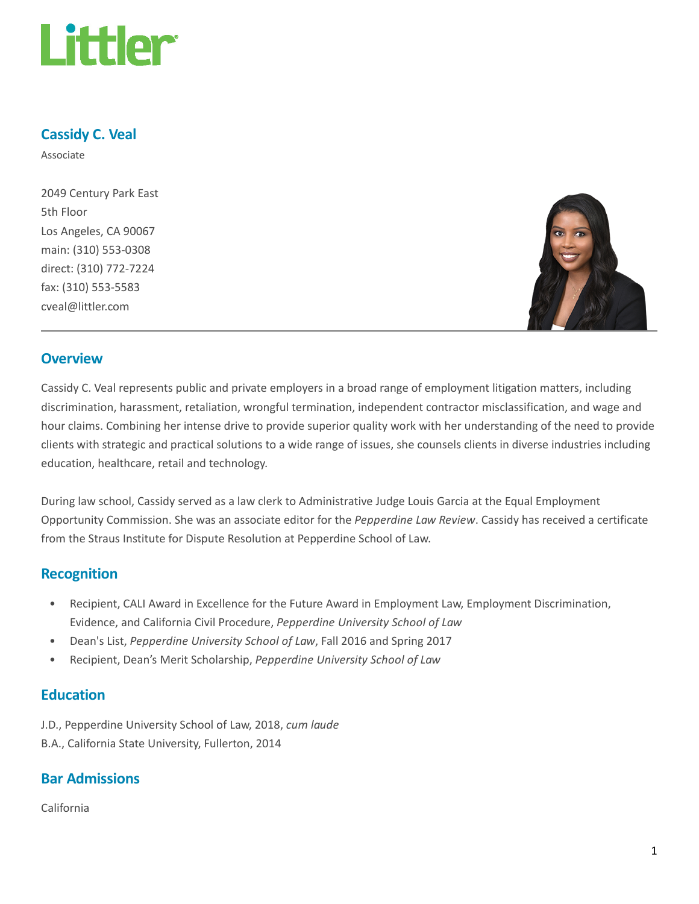

## Cassidy C. Veal

Associate

2049 Century Park East 5th Floor Los Angeles, CA 90067 main: (310) 553-0308 direct: (310) 772-7224 fax: (310) 553-5583 cveal@littler.com



#### **Overview**

Cassidy C. Veal represents public and private employers in a broad range of employment litigation matters, including discrimination, harassment, retaliation, wrongful termination, independent contractor misclassification, and wage and hour claims. Combining her intense drive to provide superior quality work with her understanding of the need to provide clients with strategic and practical solutions to a wide range of issues, she counsels clients in diverse industries including education, healthcare, retail and technology.

During law school, Cassidy served as a law clerk to Administrative Judge Louis Garcia at the Equal Employment Opportunity Commission. She was an associate editor for the Pepperdine Law Review. Cassidy has received a certificate from the Straus Institute for Dispute Resolution at Pepperdine School of Law.

#### Recognition

- Recipient, CALI Award in Excellence for the Future Award in Employment Law, Employment Discrimination, Evidence, and California Civil Procedure, Pepperdine University School of Law
- Dean's List, Pepperdine University School of Law, Fall 2016 and Spring 2017
- Recipient, Dean's Merit Scholarship, Pepperdine University School of Law

#### **Education**

J.D., Pepperdine University School of Law, 2018, cum laude B.A., California State University, Fullerton, 2014

## Bar Admissions

California